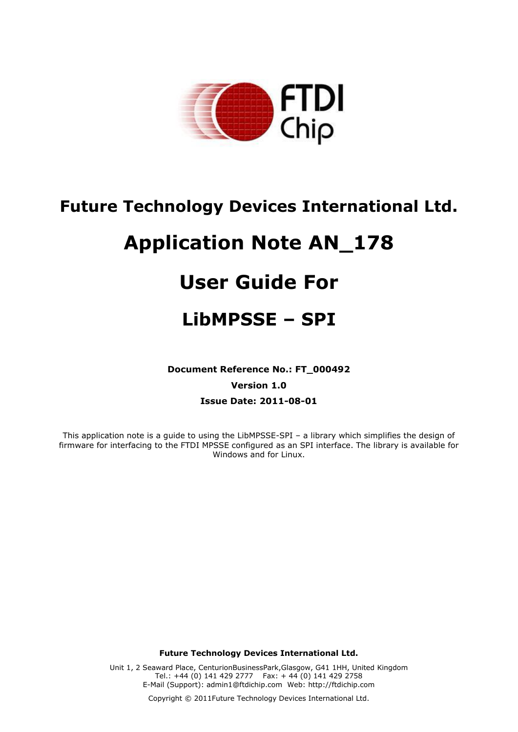

## **Future Technology Devices International Ltd.**

# **Application Note AN\_178**

# **User Guide For**

## **LibMPSSE – SPI**

**Document Reference No.: FT\_000492**

**Version 1.0**

**Issue Date: 2011-08-01**

This application note is a guide to using the LibMPSSE-SPI – a library which simplifies the design of firmware for interfacing to the FTDI MPSSE configured as an SPI interface. The library is available for Windows and for Linux.

**Future Technology Devices International Ltd.**

Unit 1, 2 Seaward Place, CenturionBusinessPark,Glasgow, G41 1HH, United Kingdom Tel.: +44 (0) 141 429 2777 Fax: + 44 (0) 141 429 2758 E-Mail (Support): admin1@ftdichip.com Web: http://ftdichip.com

Copyright © 2011Future Technology Devices International Ltd.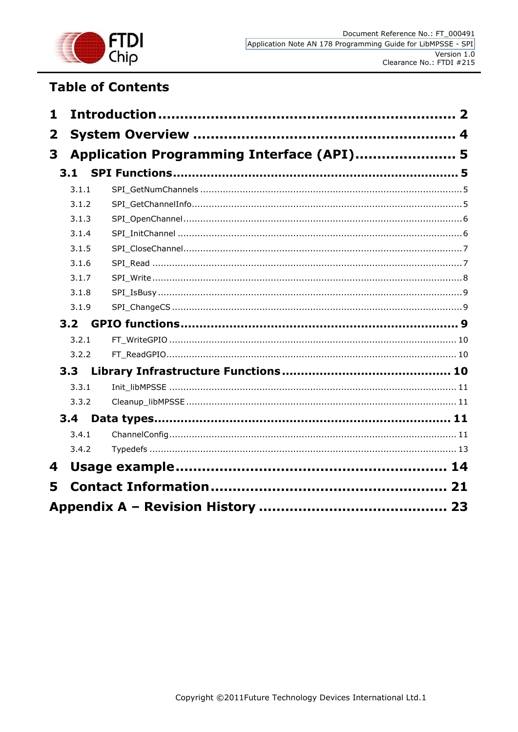

## **Table of Contents**

| 1            |       |                                           |  |
|--------------|-------|-------------------------------------------|--|
| $\mathbf{2}$ |       |                                           |  |
| 3            |       | Application Programming Interface (API) 5 |  |
|              | 3.1   |                                           |  |
|              | 3.1.1 |                                           |  |
|              | 3.1.2 |                                           |  |
|              | 3.1.3 |                                           |  |
|              | 3.1.4 |                                           |  |
|              | 3.1.5 |                                           |  |
|              | 3.1.6 |                                           |  |
|              | 3.1.7 |                                           |  |
|              | 3.1.8 |                                           |  |
|              | 3.1.9 |                                           |  |
|              | 3.2   |                                           |  |
|              | 3.2.1 |                                           |  |
|              | 3.2.2 |                                           |  |
|              | 3.3   |                                           |  |
|              | 3.3.1 |                                           |  |
|              | 3.3.2 |                                           |  |
|              | 3.4   |                                           |  |
|              | 3.4.1 |                                           |  |
|              | 3.4.2 |                                           |  |
| 4            |       |                                           |  |
|              |       |                                           |  |
| 5            |       |                                           |  |
|              |       |                                           |  |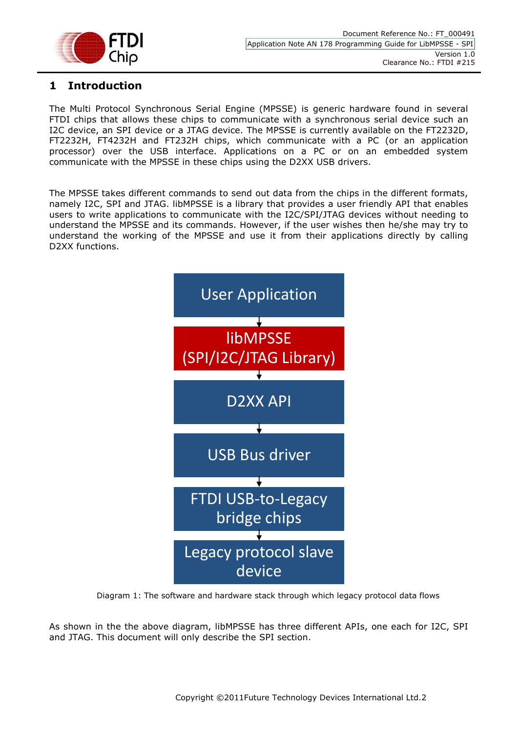

## <span id="page-2-0"></span>**1 Introduction**

The Multi Protocol Synchronous Serial Engine (MPSSE) is generic hardware found in several FTDI chips that allows these chips to communicate with a synchronous serial device such an I2C device, an SPI device or a JTAG device. The MPSSE is currently available on the FT2232D, FT2232H, FT4232H and FT232H chips, which communicate with a PC (or an application processor) over the USB interface. Applications on a PC or on an embedded system communicate with the MPSSE in these chips using the D2XX USB drivers.

The MPSSE takes different commands to send out data from the chips in the different formats, namely I2C, SPI and JTAG. libMPSSE is a library that provides a user friendly API that enables users to write applications to communicate with the I2C/SPI/JTAG devices without needing to understand the MPSSE and its commands. However, if the user wishes then he/she may try to understand the working of the MPSSE and use it from their applications directly by calling D2XX functions.



Diagram 1: The software and hardware stack through which legacy protocol data flows

As shown in the the above diagram, libMPSSE has three different APIs, one each for I2C, SPI and JTAG. This document will only describe the SPI section.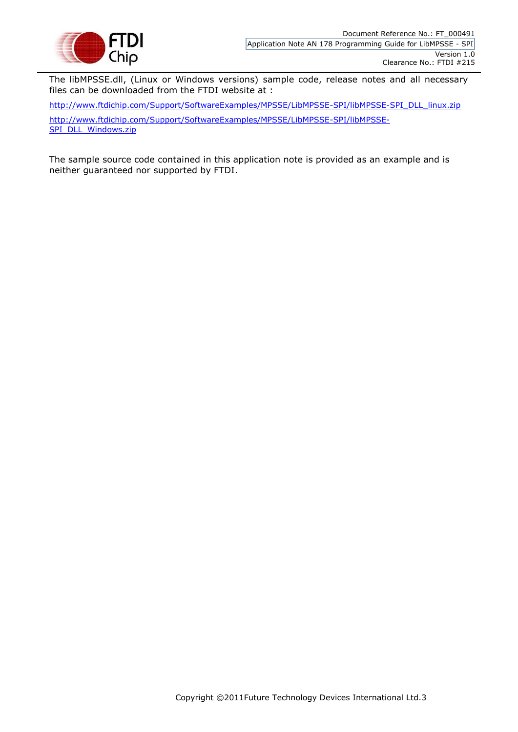

The libMPSSE.dll, (Linux or Windows versions) sample code, release notes and all necessary files can be downloaded from the FTDI website at :

[http://www.ftdichip.com/Support/SoftwareExamples/MPSSE/LibMPSSE-SPI/libMPSSE-SPI\\_DLL\\_linux.zip](http://www.ftdichip.com/Support/SoftwareExamples/MPSSE/LibMPSSE-SPI/libMPSSE-SPI_DLL_linux.zip) [http://www.ftdichip.com/Support/SoftwareExamples/MPSSE/LibMPSSE-SPI/libMPSSE-](http://www.ftdichip.com/Support/SoftwareExamples/MPSSE/LibMPSSE-SPI/libMPSSE-SPI_DLL_Windows.zip)[SPI\\_DLL\\_Windows.zip](http://www.ftdichip.com/Support/SoftwareExamples/MPSSE/LibMPSSE-SPI/libMPSSE-SPI_DLL_Windows.zip)

The sample source code contained in this application note is provided as an example and is neither guaranteed nor supported by FTDI.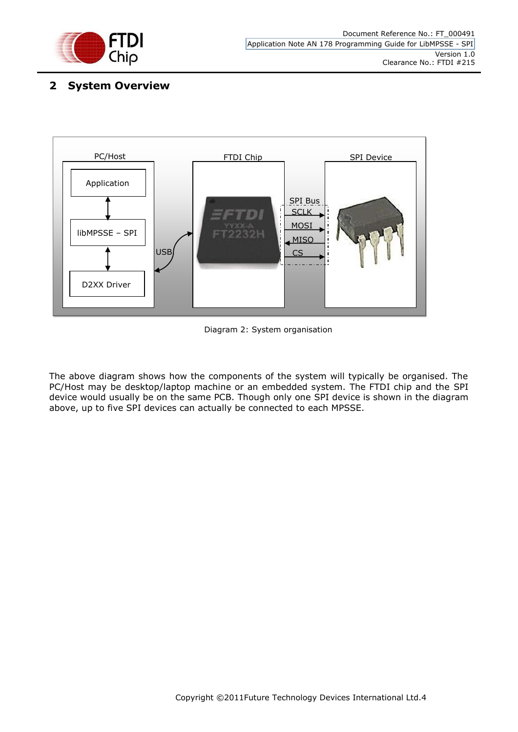

## <span id="page-4-0"></span>**2 System Overview**



Diagram 2: System organisation

The above diagram shows how the components of the system will typically be organised. The PC/Host may be desktop/laptop machine or an embedded system. The FTDI chip and the SPI device would usually be on the same PCB. Though only one SPI device is shown in the diagram above, up to five SPI devices can actually be connected to each MPSSE.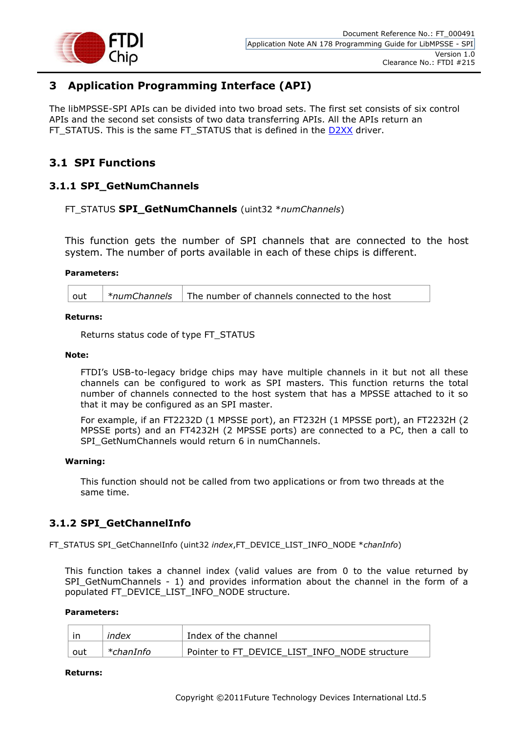

## <span id="page-5-0"></span>**3 Application Programming Interface (API)**

The libMPSSE-SPI APIs can be divided into two broad sets. The first set consists of six control APIs and the second set consists of two data transferring APIs. All the APIs return an FT\_STATUS. This is the same FT\_STATUS that is defined in the [D2XX](http://www.ftdichip.com/Support/Documents/ProgramGuides/D2XX_Programmer) driver.

## <span id="page-5-1"></span>**3.1 SPI Functions**

## <span id="page-5-2"></span>**3.1.1 SPI\_GetNumChannels**

#### FT\_STATUS **SPI\_GetNumChannels** (uint32 \**numChannels*)

This function gets the number of SPI channels that are connected to the host system. The number of ports available in each of these chips is different.

#### **Parameters:**

| $\frac{1}{2}$ *numChannels $\frac{1}{2}$ The number of channels connected to the host<br>out |
|----------------------------------------------------------------------------------------------|
|----------------------------------------------------------------------------------------------|

#### **Returns:**

Returns status code of type FT\_STATUS

#### **Note:**

FTDI's USB-to-legacy bridge chips may have multiple channels in it but not all these channels can be configured to work as SPI masters. This function returns the total number of channels connected to the host system that has a MPSSE attached to it so that it may be configured as an SPI master.

For example, if an FT2232D (1 MPSSE port), an FT232H (1 MPSSE port), an FT2232H (2 MPSSE ports) and an FT4232H (2 MPSSE ports) are connected to a PC, then a call to SPI\_GetNumChannels would return 6 in numChannels.

#### **Warning:**

This function should not be called from two applications or from two threads at the same time.

## <span id="page-5-3"></span>**3.1.2 SPI\_GetChannelInfo**

FT\_STATUS SPI\_GetChannelInfo (uint32 *index*,FT\_DEVICE\_LIST\_INFO\_NODE \**chanInfo*)

This function takes a channel index (valid values are from 0 to the value returned by SPI\_GetNumChannels - 1) and provides information about the channel in the form of a populated FT\_DEVICE\_LIST\_INFO\_NODE structure.

#### **Parameters:**

|     | index     | Index of the channel                          |
|-----|-----------|-----------------------------------------------|
| out | *chanInfo | Pointer to FT DEVICE LIST INFO NODE structure |

#### **Returns:**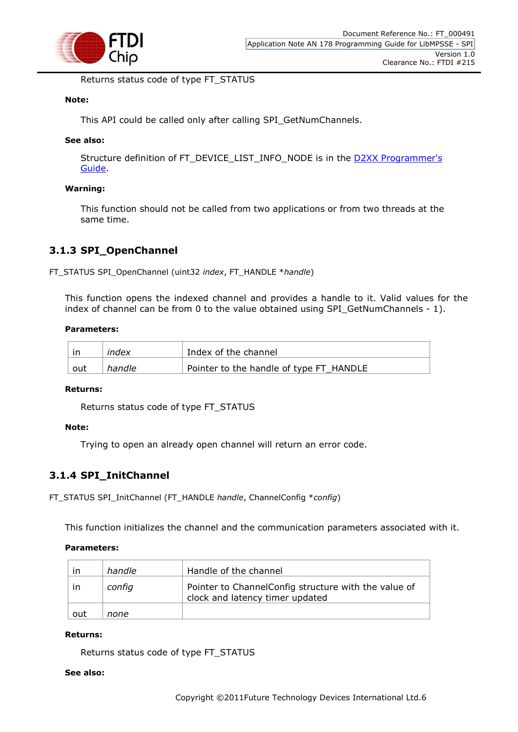

Returns status code of type FT\_STATUS

#### **Note:**

This API could be called only after calling SPI\_GetNumChannels.

#### **See also:**

Structure definition of FT\_DEVICE\_LIST\_INFO\_NODE is in the [D2XX Programmer's](http://www.ftdichip.com/Support/Documents/ProgramGuides/D2XX_Programmer)  [Guide.](http://www.ftdichip.com/Support/Documents/ProgramGuides/D2XX_Programmer)

#### **Warning:**

This function should not be called from two applications or from two threads at the same time.

## <span id="page-6-0"></span>**3.1.3 SPI\_OpenChannel**

FT\_STATUS SPI\_OpenChannel (uint32 *index*, FT\_HANDLE \**handle*)

This function opens the indexed channel and provides a handle to it. Valid values for the index of channel can be from 0 to the value obtained using SPI\_GetNumChannels - 1).

#### **Parameters:**

| -in | index  | Index of the channel                    |
|-----|--------|-----------------------------------------|
| out | handle | Pointer to the handle of type FT_HANDLE |

#### **Returns:**

Returns status code of type FT\_STATUS

#### **Note:**

Trying to open an already open channel will return an error code.

## <span id="page-6-1"></span>**3.1.4 SPI\_InitChannel**

FT\_STATUS SPI\_InitChannel (FT\_HANDLE *handle*, ChannelConfig \**config*)

This function initializes the channel and the communication parameters associated with it.

#### **Parameters:**

| ın            | handle | Handle of the channel                                                                    |
|---------------|--------|------------------------------------------------------------------------------------------|
| <sub>in</sub> | config | Pointer to Channel Config structure with the value of<br>clock and latency timer updated |
| out           | none   |                                                                                          |

#### **Returns:**

Returns status code of type FT\_STATUS

#### **See also:**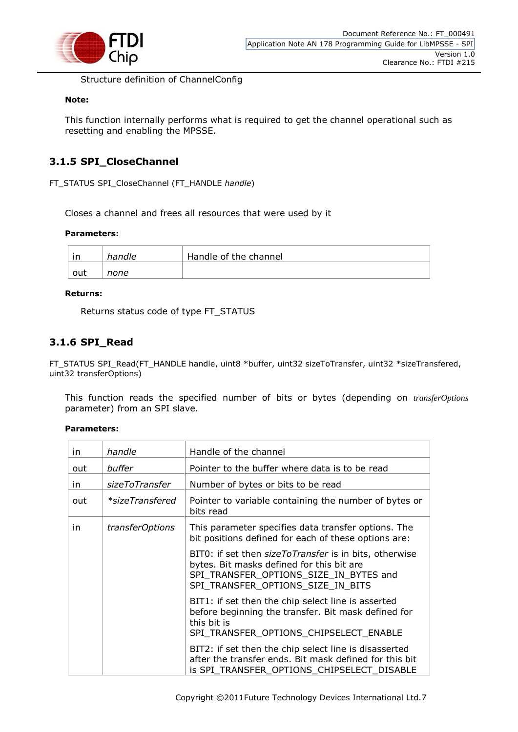

Structure definition of ChannelConfig

#### **Note:**

This function internally performs what is required to get the channel operational such as resetting and enabling the MPSSE.

## <span id="page-7-0"></span>**3.1.5 SPI\_CloseChannel**

FT\_STATUS SPI\_CloseChannel (FT\_HANDLE *handle*)

Closes a channel and frees all resources that were used by it

#### **Parameters:**

| ın  | handle | Handle of the channel |
|-----|--------|-----------------------|
| out | none   |                       |

#### **Returns:**

Returns status code of type FT\_STATUS

## <span id="page-7-1"></span>**3.1.6 SPI\_Read**

FT\_STATUS SPI\_Read(FT\_HANDLE handle, uint8 \*buffer, uint32 sizeToTransfer, uint32 \*sizeTransfered, uint32 transferOptions)

This function reads the specified number of bits or bytes (depending on *transferOptions* parameter) from an SPI slave.

#### **Parameters:**

| in. | handle                 | Handle of the channel                                                                                                                                                              |
|-----|------------------------|------------------------------------------------------------------------------------------------------------------------------------------------------------------------------------|
| out | buffer                 | Pointer to the buffer where data is to be read                                                                                                                                     |
| in. | sizeToTransfer         | Number of bytes or bits to be read                                                                                                                                                 |
| out | *sizeTransfered        | Pointer to variable containing the number of bytes or<br>bits read                                                                                                                 |
| in. | <i>transferOptions</i> | This parameter specifies data transfer options. The<br>bit positions defined for each of these options are:                                                                        |
|     |                        | BIT0: if set then sizeToTransfer is in bits, otherwise<br>bytes. Bit masks defined for this bit are<br>SPI TRANSFER OPTIONS SIZE IN BYTES and<br>SPI TRANSFER OPTIONS SIZE IN BITS |
|     |                        | BIT1: if set then the chip select line is asserted<br>before beginning the transfer. Bit mask defined for<br>this bit is<br>SPI TRANSFER OPTIONS CHIPSELECT ENABLE                 |
|     |                        | BIT2: if set then the chip select line is disasserted<br>after the transfer ends. Bit mask defined for this bit<br>is SPI TRANSFER_OPTIONS_CHIPSELECT_DISABLE                      |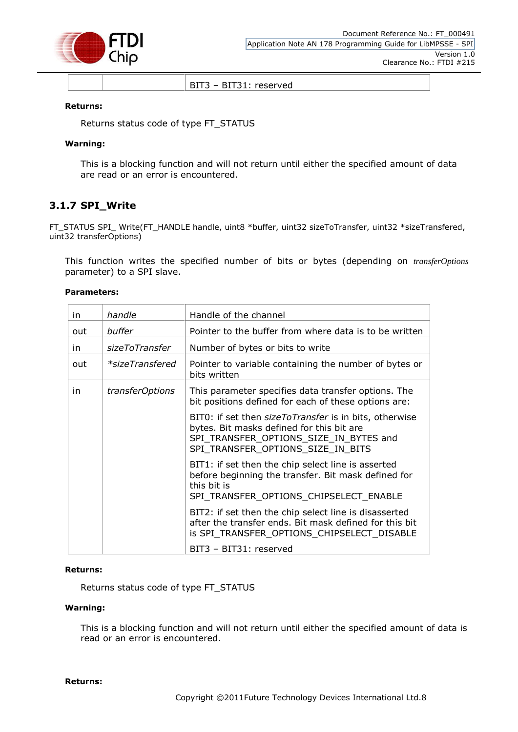

BIT3 – BIT31: reserved

#### **Returns:**

Returns status code of type FT\_STATUS

#### **Warning:**

This is a blocking function and will not return until either the specified amount of data are read or an error is encountered.

#### <span id="page-8-0"></span>**3.1.7 SPI\_Write**

FT\_STATUS SPI\_ Write(FT\_HANDLE handle, uint8 \*buffer, uint32 sizeToTransfer, uint32 \*sizeTransfered, uint32 transferOptions)

This function writes the specified number of bits or bytes (depending on *transferOptions* parameter) to a SPI slave.

#### **Parameters:**

| in. | handle                 | Handle of the channel                                                                                                                                                              |
|-----|------------------------|------------------------------------------------------------------------------------------------------------------------------------------------------------------------------------|
| out | buffer                 | Pointer to the buffer from where data is to be written                                                                                                                             |
| in  | sizeToTransfer         | Number of bytes or bits to write                                                                                                                                                   |
| out | *sizeTransfered        | Pointer to variable containing the number of bytes or<br>bits written                                                                                                              |
| in  | <i>transferOptions</i> | This parameter specifies data transfer options. The<br>bit positions defined for each of these options are:                                                                        |
|     |                        | BIT0: if set then sizeToTransfer is in bits, otherwise<br>bytes. Bit masks defined for this bit are<br>SPI_TRANSFER_OPTIONS_SIZE_IN_BYTES and<br>SPI TRANSFER OPTIONS SIZE IN BITS |
|     |                        | BIT1: if set then the chip select line is asserted<br>before beginning the transfer. Bit mask defined for<br>this bit is<br>SPI_TRANSFER_OPTIONS_CHIPSELECT_ENABLE                 |
|     |                        | BIT2: if set then the chip select line is disasserted<br>after the transfer ends. Bit mask defined for this bit<br>is SPI_TRANSFER_OPTIONS_CHIPSELECT_DISABLE                      |
|     |                        | BIT3 - BIT31: reserved                                                                                                                                                             |

#### **Returns:**

Returns status code of type FT\_STATUS

#### **Warning:**

This is a blocking function and will not return until either the specified amount of data is read or an error is encountered.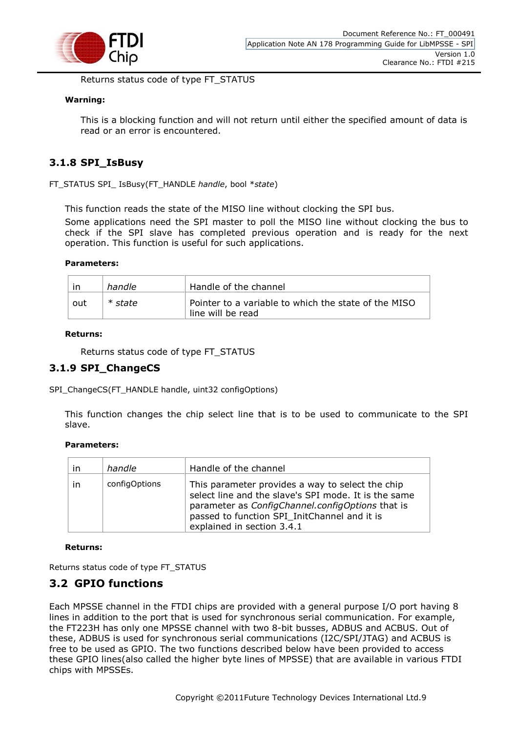

Returns status code of type FT\_STATUS

#### **Warning:**

This is a blocking function and will not return until either the specified amount of data is read or an error is encountered.

### <span id="page-9-0"></span>**3.1.8 SPI\_IsBusy**

FT\_STATUS SPI\_ IsBusy(FT\_HANDLE *handle*, bool \**state*)

This function reads the state of the MISO line without clocking the SPI bus.

Some applications need the SPI master to poll the MISO line without clocking the bus to check if the SPI slave has completed previous operation and is ready for the next operation. This function is useful for such applications.

#### **Parameters:**

|     | handle  | Handle of the channel                                                     |
|-----|---------|---------------------------------------------------------------------------|
| out | * state | Pointer to a variable to which the state of the MISO<br>line will be read |

#### **Returns:**

Returns status code of type FT\_STATUS

## <span id="page-9-1"></span>**3.1.9 SPI\_ChangeCS**

SPI\_ChangeCS(FT\_HANDLE handle, uint32 configOptions)

This function changes the chip select line that is to be used to communicate to the SPI slave.

#### **Parameters:**

| ın | handle        | Handle of the channel                                                                                                                                                                                                                      |
|----|---------------|--------------------------------------------------------------------------------------------------------------------------------------------------------------------------------------------------------------------------------------------|
| ın | configOptions | This parameter provides a way to select the chip<br>select line and the slave's SPI mode. It is the same<br>parameter as ConfigChannel.configOptions that is<br>passed to function SPI_InitChannel and it is<br>explained in section 3.4.1 |

#### **Returns:**

Returns status code of type FT\_STATUS

## <span id="page-9-2"></span>**3.2 GPIO functions**

Each MPSSE channel in the FTDI chips are provided with a general purpose I/O port having 8 lines in addition to the port that is used for synchronous serial communication. For example, the FT223H has only one MPSSE channel with two 8-bit busses, ADBUS and ACBUS. Out of these, ADBUS is used for synchronous serial communications (I2C/SPI/JTAG) and ACBUS is free to be used as GPIO. The two functions described below have been provided to access these GPIO lines(also called the higher byte lines of MPSSE) that are available in various FTDI chips with MPSSEs.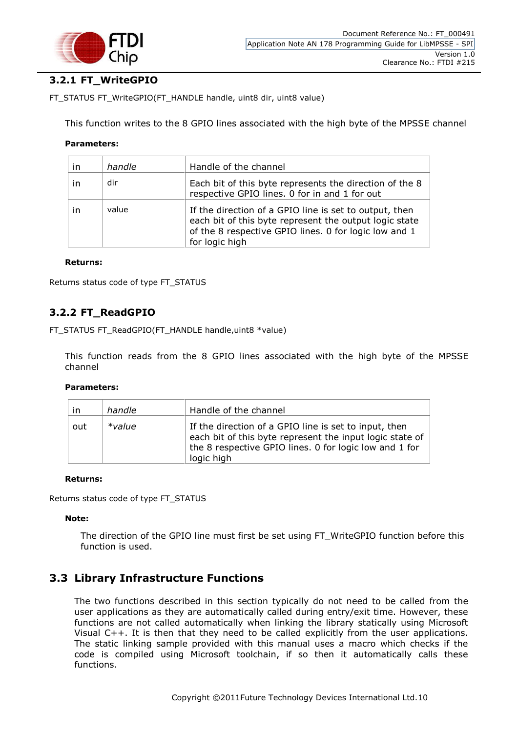

## <span id="page-10-0"></span>**3.2.1 FT\_WriteGPIO**

FT\_STATUS FT\_WriteGPIO(FT\_HANDLE handle, uint8 dir, uint8 value)

This function writes to the 8 GPIO lines associated with the high byte of the MPSSE channel

#### **Parameters:**

| in | handle | Handle of the channel                                                                                                                                                                       |
|----|--------|---------------------------------------------------------------------------------------------------------------------------------------------------------------------------------------------|
| in | dir    | Each bit of this byte represents the direction of the 8<br>respective GPIO lines. 0 for in and 1 for out                                                                                    |
| in | value  | If the direction of a GPIO line is set to output, then<br>each bit of this byte represent the output logic state<br>of the 8 respective GPIO lines. 0 for logic low and 1<br>for logic high |

#### **Returns:**

Returns status code of type FT\_STATUS

## <span id="page-10-1"></span>**3.2.2 FT\_ReadGPIO**

FT\_STATUS FT\_ReadGPIO(FT\_HANDLE handle,uint8 \*value)

This function reads from the 8 GPIO lines associated with the high byte of the MPSSE channel

#### **Parameters:**

| $\mathsf{I}$ | handle    | Handle of the channel                                                                                                                                                                     |
|--------------|-----------|-------------------------------------------------------------------------------------------------------------------------------------------------------------------------------------------|
| out          | $*$ value | If the direction of a GPIO line is set to input, then<br>each bit of this byte represent the input logic state of<br>the 8 respective GPIO lines. 0 for logic low and 1 for<br>logic high |

#### **Returns:**

Returns status code of type FT\_STATUS

#### **Note:**

The direction of the GPIO line must first be set using FT\_WriteGPIO function before this function is used.

## <span id="page-10-2"></span>**3.3 Library Infrastructure Functions**

The two functions described in this section typically do not need to be called from the user applications as they are automatically called during entry/exit time. However, these functions are not called automatically when linking the library statically using Microsoft Visual C++. It is then that they need to be called explicitly from the user applications. The static linking sample provided with this manual uses a macro which checks if the code is compiled using Microsoft toolchain, if so then it automatically calls these functions.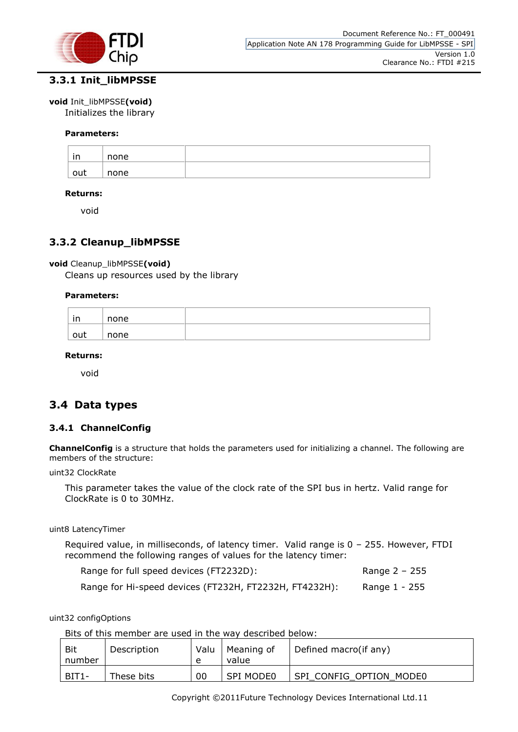

## <span id="page-11-0"></span>**3.3.1 Init\_libMPSSE**

#### **void** Init\_libMPSSE**(void)**

Initializes the library

#### **Parameters:**

| in  | none |  |
|-----|------|--|
| out | none |  |

#### **Returns:**

void

## <span id="page-11-1"></span>**3.3.2 Cleanup\_libMPSSE**

#### **void** Cleanup\_libMPSSE**(void)**

Cleans up resources used by the library

#### **Parameters:**

| $\overline{\phantom{a}}$<br>$\overline{1}$<br>. | none |  |
|-------------------------------------------------|------|--|
| out                                             | none |  |

#### **Returns:**

void

## <span id="page-11-2"></span>**3.4 Data types**

#### <span id="page-11-3"></span>**3.4.1 ChannelConfig**

**ChannelConfig** is a structure that holds the parameters used for initializing a channel. The following are members of the structure:

uint32 ClockRate

This parameter takes the value of the clock rate of the SPI bus in hertz. Valid range for ClockRate is 0 to 30MHz.

uint8 LatencyTimer

Required value, in milliseconds, of latency timer. Valid range is 0 – 255. However, FTDI recommend the following ranges of values for the latency timer:

| Range for full speed devices (FT2232D):                | Range 2 – 255 |
|--------------------------------------------------------|---------------|
| Range for Hi-speed devices (FT232H, FT2232H, FT4232H): | Range 1 - 255 |

uint32 configOptions

Bits of this member are used in the way described below:

| Bit<br>number | Description | Valu<br>$\epsilon$ | Meaning of<br>value | Defined macro(if any)   |
|---------------|-------------|--------------------|---------------------|-------------------------|
| BIT1-         | These bits  | 00                 | <b>SPI MODE0</b>    | SPI CONFIG OPTION MODE0 |

Copyright ©2011Future Technology Devices International Ltd.11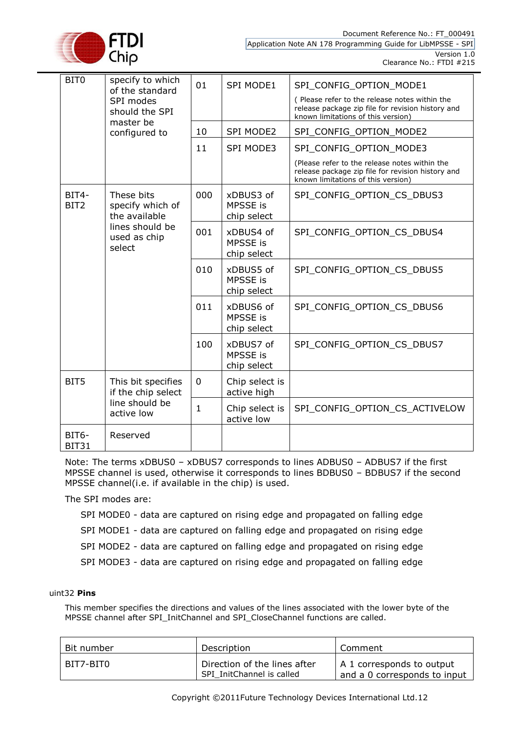

Document Reference No.: FT\_000491 Application Note AN 178 Programming Guide for LibMPSSE - SPI Version 1.0

Clearance No.: FTDI #215

| BIT <sub>0</sub>          | specify to which<br>of the standard                                                          | 01  | <b>SPI MODE1</b>                     | SPI CONFIG OPTION MODE1                                                                                                                  |
|---------------------------|----------------------------------------------------------------------------------------------|-----|--------------------------------------|------------------------------------------------------------------------------------------------------------------------------------------|
|                           | SPI modes<br>should the SPI<br>master be                                                     |     |                                      | (Please refer to the release notes within the<br>release package zip file for revision history and<br>known limitations of this version) |
|                           | configured to                                                                                | 10  | <b>SPI MODE2</b>                     | SPI_CONFIG_OPTION_MODE2                                                                                                                  |
|                           |                                                                                              | 11  | <b>SPI MODE3</b>                     | SPI_CONFIG_OPTION_MODE3                                                                                                                  |
|                           |                                                                                              |     |                                      | (Please refer to the release notes within the<br>release package zip file for revision history and<br>known limitations of this version) |
| BIT4-<br>BIT <sub>2</sub> | These bits<br>specify which of<br>the available<br>lines should be<br>used as chip<br>select | 000 | xDBUS3 of<br>MPSSE is<br>chip select | SPI_CONFIG_OPTION_CS_DBUS3                                                                                                               |
|                           |                                                                                              | 001 | xDBUS4 of<br>MPSSE is<br>chip select | SPI_CONFIG_OPTION_CS_DBUS4                                                                                                               |
|                           |                                                                                              | 010 | xDBUS5 of<br>MPSSE is<br>chip select | SPI_CONFIG_OPTION_CS_DBUS5                                                                                                               |
|                           |                                                                                              | 011 | xDBUS6 of<br>MPSSE is<br>chip select | SPI CONFIG OPTION CS DBUS6                                                                                                               |
|                           |                                                                                              | 100 | xDBUS7 of<br>MPSSE is<br>chip select | SPI_CONFIG_OPTION_CS_DBUS7                                                                                                               |
| BIT5                      | This bit specifies<br>if the chip select<br>line should be<br>active low                     | 0   | Chip select is<br>active high        |                                                                                                                                          |
|                           |                                                                                              | 1   | Chip select is<br>active low         | SPI_CONFIG_OPTION_CS_ACTIVELOW                                                                                                           |
| BIT6-<br><b>BIT31</b>     | Reserved                                                                                     |     |                                      |                                                                                                                                          |

Note: The terms xDBUS0 – xDBUS7 corresponds to lines ADBUS0 – ADBUS7 if the first MPSSE channel is used, otherwise it corresponds to lines BDBUS0 – BDBUS7 if the second MPSSE channel(i.e. if available in the chip) is used.

The SPI modes are:

- SPI MODE0 data are captured on rising edge and propagated on falling edge
- SPI MODE1 data are captured on falling edge and propagated on rising edge
- SPI MODE2 data are captured on falling edge and propagated on rising edge
- SPI MODE3 data are captured on rising edge and propagated on falling edge

#### uint32 **Pins**

This member specifies the directions and values of the lines associated with the lower byte of the MPSSE channel after SPI\_InitChannel and SPI\_CloseChannel functions are called.

| Bit number | Description                                               | Comment                                                   |
|------------|-----------------------------------------------------------|-----------------------------------------------------------|
| BIT7-BIT0  | Direction of the lines after<br>SPI InitChannel is called | A 1 corresponds to output<br>and a 0 corresponds to input |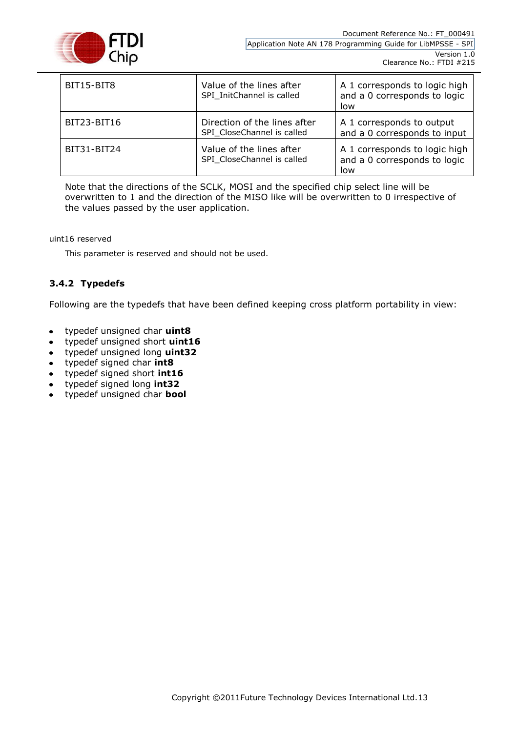

| BIT15-BIT8  | Value of the lines after<br>SPI InitChannel is called      | A 1 corresponds to logic high<br>and a 0 corresponds to logic<br>low |
|-------------|------------------------------------------------------------|----------------------------------------------------------------------|
| BIT23-BIT16 | Direction of the lines after<br>SPI CloseChannel is called | A 1 corresponds to output<br>and a 0 corresponds to input            |
| BIT31-BIT24 | Value of the lines after<br>SPI CloseChannel is called     | A 1 corresponds to logic high<br>and a 0 corresponds to logic<br>low |

Note that the directions of the SCLK, MOSI and the specified chip select line will be overwritten to 1 and the direction of the MISO like will be overwritten to 0 irrespective of the values passed by the user application.

uint16 reserved

This parameter is reserved and should not be used.

#### <span id="page-13-0"></span>**3.4.2 Typedefs**

Following are the typedefs that have been defined keeping cross platform portability in view:

- typedef unsigned char **uint8**
- typedef unsigned short **uint16**
- typedef unsigned long **uint32**
- typedef signed char **int8**
- typedef signed short **int16**
- typedef signed long **int32**
- typedef unsigned char **bool**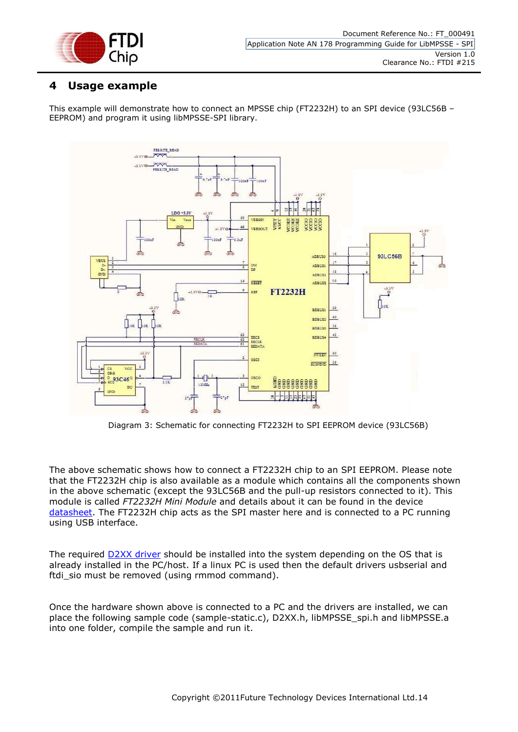

## <span id="page-14-0"></span>**4 Usage example**

This example will demonstrate how to connect an MPSSE chip (FT2232H) to an SPI device (93LC56B – EEPROM) and program it using libMPSSE-SPI library.



Diagram 3: Schematic for connecting FT2232H to SPI EEPROM device (93LC56B)

The above schematic shows how to connect a FT2232H chip to an SPI EEPROM. Please note that the FT2232H chip is also available as a module which contains all the components shown in the above schematic (except the 93LC56B and the pull-up resistors connected to it). This module is called *FT2232H Mini Module* and details about it can be found in the device [datasheet.](http://www.ftdichip.com/Support/Documents/DataSheets/Modules/DS_FT2232H_Mini_Module.pdf) The FT2232H chip acts as the SPI master here and is connected to a PC running using USB interface.

The required **D2XX driver** should be installed into the system depending on the OS that is already installed in the PC/host. If a linux PC is used then the default drivers usbserial and ftdi\_sio must be removed (using rmmod command).

Once the hardware shown above is connected to a PC and the drivers are installed, we can place the following sample code (sample-static.c), D2XX.h, libMPSSE\_spi.h and libMPSSE.a into one folder, compile the sample and run it.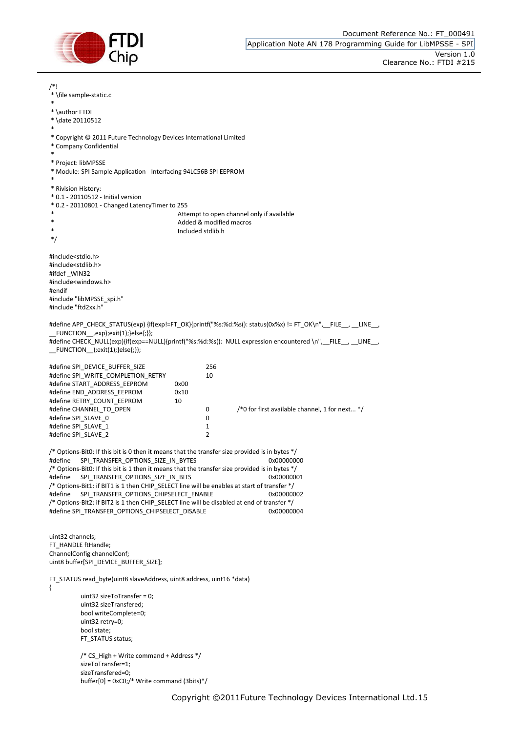

sizeTransfered=0;

buffer[0] = 0xC0;/\* Write command (3bits)\*/

/\*! \* \file sample-static.c \* \* \author FTDI \* \date 20110512 \* \* Copyright © 2011 Future Technology Devices International Limited \* Company Confidential \* \* Project: libMPSSE \* Module: SPI Sample Application - Interfacing 94LC56B SPI EEPROM \* \* Rivision History: \* 0.1 - 20110512 - Initial version \* 0.2 - 20110801 - Changed LatencyTimer to 255 Attempt to open channel only if available Added & modified macros Included stdlib.h \*/ #include<stdio.h> #include<stdlib.h> #ifdef WIN32 #include<windows.h> #endif #include "libMPSSE\_spi.h" #include "ftd2xx.h" #define APP\_CHECK\_STATUS(exp) {if(exp!=FT\_OK){printf("%s:%d:%s(): status(0x%x) != FT\_OK\n", \_FILE \_, \_\_LINE \_,  $_F$ UNCTION $\_\_exp$ );exit(1);}else{;}}; #define CHECK\_NULL(exp){if(exp==NULL){printf("%s:%d:%s(): NULL expression encountered \n", FILE , LINE ,  $FUNCTION$  ); $exit(1);}$ else{;}}; #define SPI\_DEVICE\_BUFFER\_SIZE 256 #define SPI\_WRITE\_COMPLETION\_RETRY<br>#define START\_ADDRESS\_EEPROM 0x00 #define START\_ADDRESS\_EEPROM #define END\_ADDRESS\_EEPROM 0x10 #define RETRY\_COUNT\_EEPROM 10 #define CHANNEL\_TO\_OPEN 0 /\*0 for first available channel, 1 for next... \*/ #define SPI\_SLAVE\_0 0 #define SPI\_SLAVE\_1 1<br>#define SPI\_SLAVE\_2 1 2 #define SPI\_SLAVE\_2 2 /\* Options-Bit0: If this bit is 0 then it means that the transfer size provided is in bytes \*/ #define SPI\_TRANSFER\_OPTIONS\_SIZE\_IN\_BYTES 0x00000000 /\* Options-Bit0: If this bit is 1 then it means that the transfer size provided is in bytes \*/ #define SPI\_TRANSFER\_OPTIONS\_SIZE\_IN\_BITS 0x000000000001 /\* Options-Bit1: if BIT1 is 1 then CHIP\_SELECT line will be enables at start of transfer \*/ #define SPI\_TRANSFER\_OPTIONS\_CHIPSELECT\_ENABLE 0x00000002 /\* Options-Bit2: if BIT2 is 1 then CHIP\_SELECT line will be disabled at end of transfer \*/ #define SPI\_TRANSFER\_OPTIONS\_CHIPSELECT\_DISABLE 0x0000000000004 uint32 channels; FT\_HANDLE ftHandle; ChannelConfig channelConf; uint8 buffer[SPI\_DEVICE\_BUFFER\_SIZE]; FT\_STATUS read\_byte(uint8 slaveAddress, uint8 address, uint16 \*data) { uint32 sizeToTransfer =  $0$ : uint32 sizeTransfered; bool writeComplete=0; uint32 retry=0; bool state; FT\_STATUS status; /\* CS High + Write command + Address \*/ sizeToTransfer=1;

Copyright ©2011Future Technology Devices International Ltd.15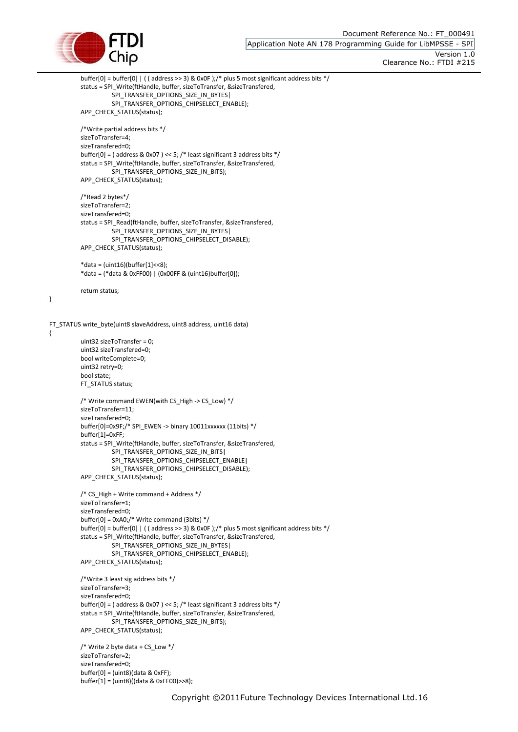

}

{

buffer[0] = buffer[0] | ((address >> 3) & 0x0F );/\* plus 5 most significant address bits \*/ status = SPI\_Write(ftHandle, buffer, sizeToTransfer, &sizeTransfered, SPI\_TRANSFER\_OPTIONS\_SIZE\_IN\_BYTES| SPI\_TRANSFER\_OPTIONS\_CHIPSELECT\_ENABLE); APP\_CHECK\_STATUS(status); /\*Write partial address bits \*/ sizeToTransfer=4; sizeTransfered=0; buffer[0] = ( address & 0x07 ) << 5; /\* least significant 3 address bits \*/ status = SPI\_Write(ftHandle, buffer, sizeToTransfer, &sizeTransfered, SPI\_TRANSFER\_OPTIONS\_SIZE\_IN\_BITS); APP\_CHECK\_STATUS(status); /\*Read 2 bytes\*/ sizeToTransfer=2; sizeTransfered=0; status = SPI\_Read(ftHandle, buffer, sizeToTransfer, &sizeTransfered, SPI\_TRANSFER\_OPTIONS\_SIZE\_IN\_BYTES| SPI\_TRANSFER\_OPTIONS\_CHIPSELECT\_DISABLE); APP\_CHECK\_STATUS(status); \*data = (uint16)(buffer[1]<<8); \*data = (\*data & 0xFF00) | (0x00FF & (uint16)buffer[0]); return status; FT\_STATUS write\_byte(uint8 slaveAddress, uint8 address, uint16 data) uint32 sizeToTransfer = 0; uint32 sizeTransfered=0; bool writeComplete=0; uint32 retry=0; bool state; FT\_STATUS status; /\* Write command EWEN(with CS\_High -> CS\_Low) \*/ sizeToTransfer=11; sizeTransfered=0; buffer[0]=0x9F;/\* SPI\_EWEN -> binary 10011xxxxxx (11bits) \*/ buffer[1]=0xFF; status = SPI\_Write(ftHandle, buffer, sizeToTransfer, &sizeTransfered, SPI\_TRANSFER\_OPTIONS\_SIZE\_IN\_BITS| SPI\_TRANSFER\_OPTIONS\_CHIPSELECT\_ENABLE| SPI\_TRANSFER\_OPTIONS\_CHIPSELECT\_DISABLE); APP\_CHECK\_STATUS(status); /\* CS\_High + Write command + Address \*/ sizeToTransfer=1; sizeTransfered=0; buffer[0] = 0xA0;/\* Write command (3bits) \*/ buffer[0] = buffer[0]  $| ($  (address >> 3) & 0x0F );/\* plus 5 most significant address bits \*/ status = SPI\_Write(ftHandle, buffer, sizeToTransfer, &sizeTransfered, SPI\_TRANSFER\_OPTIONS\_SIZE\_IN\_BYTES| SPI\_TRANSFER\_OPTIONS\_CHIPSELECT\_ENABLE); APP\_CHECK\_STATUS(status); /\*Write 3 least sig address bits \*/ sizeToTransfer=3; sizeTransfered=0; buffer[0] = ( address & 0x07 ) << 5; /\* least significant 3 address bits \*/ status = SPI\_Write(ftHandle, buffer, sizeToTransfer, &sizeTransfered, SPI\_TRANSFER\_OPTIONS\_SIZE\_IN\_BITS); APP\_CHECK\_STATUS(status); /\* Write 2 byte data + CS Low  $*/$ sizeToTransfer=2; sizeTransfered=0;  $buffer[0] = (uint8)(data & OxFF);$ buffer[1] = (uint8)((data & 0xFF00)>>8);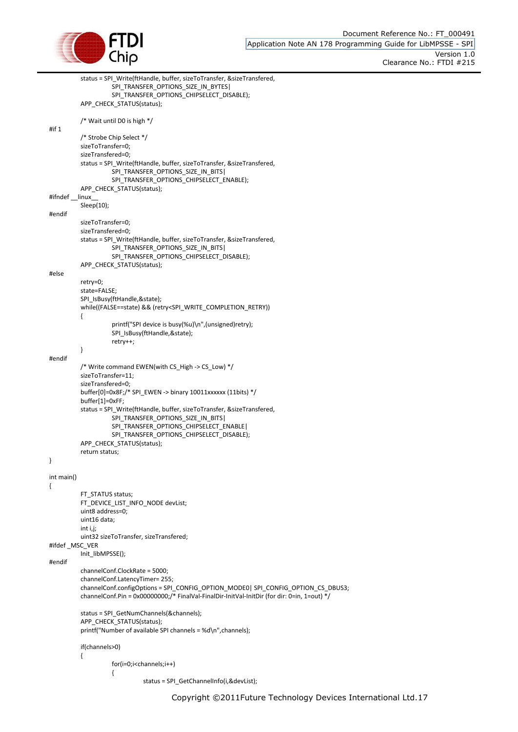

```
status = SPI_Write(ftHandle, buffer, sizeToTransfer, &sizeTransfered, 
                     SPI_TRANSFER_OPTIONS_SIZE_IN_BYTES|
                     SPI_TRANSFER_OPTIONS_CHIPSELECT_DISABLE);
          APP_CHECK_STATUS(status);
          /* Wait until D0 is high */
#if 1
          /* Strobe Chip Select */
          sizeToTransfer=0;
          sizeTransfered=0;
          status = SPI_Write(ftHandle, buffer, sizeToTransfer, &sizeTransfered, 
                     SPI_TRANSFER_OPTIONS_SIZE_IN_BITS|
                     SPI_TRANSFER_OPTIONS_CHIPSELECT_ENABLE);
          APP_CHECK_STATUS(status);
#ifndef linux
          Sleep(10);
#endif
          sizeToTransfer=0;
          sizeTransfered=0;
          status = SPI_Write(ftHandle, buffer, sizeToTransfer, &sizeTransfered, 
                     SPI_TRANSFER_OPTIONS_SIZE_IN_BITS|
                     SPI_TRANSFER_OPTIONS_CHIPSELECT_DISABLE);
          APP_CHECK_STATUS(status);
#else
          retry=0;
          state=FALSE;
          SPI_IsBusy(ftHandle,&state);
          while((FALSE==state) && (retry<SPI_WRITE_COMPLETION_RETRY))
          {
                     printf("SPI device is busy(%u)\n",(unsigned)retry);
                     SPI_IsBusy(ftHandle,&state);
                     retry++;
          }
#endif
          /* Write command EWEN(with CS_High -> CS_Low) */
          sizeToTransfer=11;
          sizeTransfered=0;
          buffer[0]=0x8F;/* SPI_EWEN -> binary 10011xxxxxx (11bits) */
          buffer[1]=0xFF;
          status = SPI_Write(ftHandle, buffer, sizeToTransfer, &sizeTransfered, 
                     SPI_TRANSFER_OPTIONS_SIZE_IN_BITS|
                     SPI_TRANSFER_OPTIONS_CHIPSELECT_ENABLE|
                     SPI_TRANSFER_OPTIONS_CHIPSELECT_DISABLE);
          APP_CHECK_STATUS(status);
          return status;
}
int main()
{
          FT_STATUS status;
          FT_DEVICE_LIST_INFO_NODE devList;
          uint8 address=0;
          uint16 data;
          int i,j;
          uint32 sizeToTransfer, sizeTransfered;
#ifdef _MSC_VER
          Init_libMPSSE();
#endif
          channelConf.ClockRate = 5000;
          channelConf.LatencyTimer= 255;
          channelConf.configOptions = SPI_CONFIG_OPTION_MODE0| SPI_CONFIG_OPTION_CS_DBUS3;
          \overline{C} channelConf.Pin = 0x0000000:/* FinalVal-FinalDir-InitVal-InitDir (for dir: 0=in, 1=out) */
          status = SPI_GetNumChannels(&channels);
          APP_CHECK_STATUS(status);
          printf("Number of available SPI channels = %d\n", channels);
          if(channels>0)
          {
                     for(i=0;i<channels;i++)
                     {
                               status = SPI_GetChannelInfo(i,&devList);
```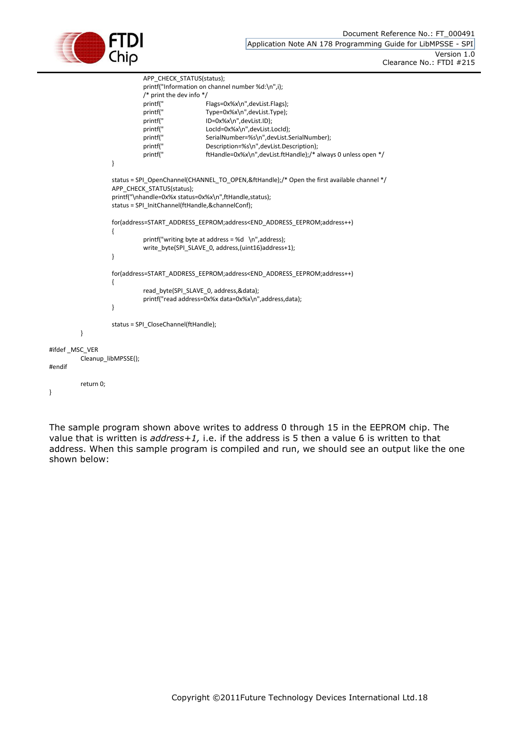

#endif

}

```
APP_CHECK_STATUS(status);
                             printf("Information on channel number %d:\n",i);
                            /* print the dev info */
                             printf(" Flags=0x%x\n",devList.Flags);
                            printf(" Type=0x%x\n",devList.Type);
                            printf(" ID=0x%x\n",devList.ID); 
                            printf(" LocId=0x%x\n",devList.LocId);
                             printf(" SerialNumber=%s\n",devList.SerialNumber);
                             printf(" Description=%s\n",devList.Description); 
                            printf(" ftHandle=0x%x\n",devList.ftHandle);/* always 0 unless open */
                   }
                   status = SPI_OpenChannel(CHANNEL_TO_OPEN,&ftHandle);/* Open the first available channel */
                   APP_CHECK_STATUS(status);
                   printf("\nhandle=0x%x status=0x%x\n",ftHandle,status);
                   status = SPI_InitChannel(ftHandle,&channelConf);
                   for(address=START_ADDRESS_EEPROM;address<END_ADDRESS_EEPROM;address++)
                   {
                            printf("writing byte at address = %d \n", address);
                             write_byte(SPI_SLAVE_0, address,(uint16)address+1);
                   }
                   for(address=START_ADDRESS_EEPROM;address<END_ADDRESS_EEPROM;address++)
                   {
                             read_byte(SPI_SLAVE_0, address,&data);
                             printf("read address=0x%x data=0x%x\n",address,data);
                   }
                   status = SPI_CloseChannel(ftHandle);
         }
#ifdef _MSC_VER
         Cleanup_libMPSSE();
         return 0;
```
The sample program shown above writes to address 0 through 15 in the EEPROM chip. The value that is written is *address+1,* i.e. if the address is 5 then a value 6 is written to that address. When this sample program is compiled and run, we should see an output like the one shown below: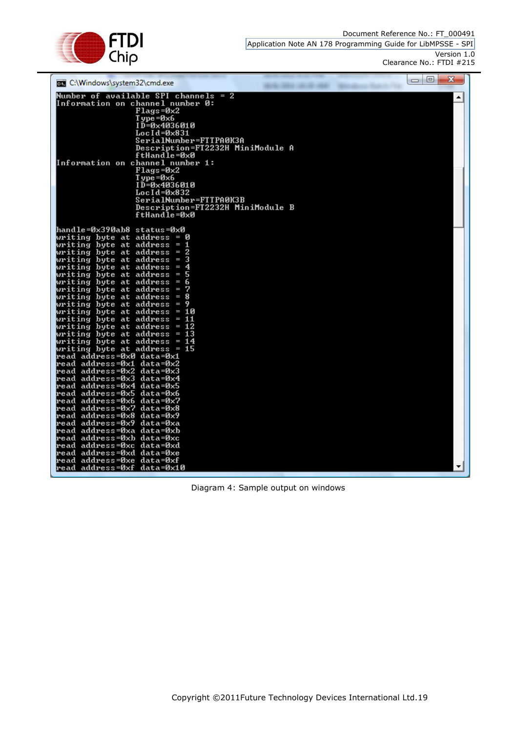Document Reference No.: FT\_000491



Application Note AN 178 Programming Guide for LibMPSSE - SPI Version 1.0

Clearance No.: FTDI #215

| C:\Windows\system32\cmd.exe                                    | $\Box$ $\Box$ | $\mathbf{x}$ |
|----------------------------------------------------------------|---------------|--------------|
| Number of available SPI channels = 2                           |               | ᅀ            |
| Information on channel number 0:<br>$Flagg = 0x2$              |               |              |
| $T$ ype = $\theta \times 6$                                    |               |              |
| ID=0x4036010                                                   |               |              |
| $LocId = 0 \times 831$                                         |               |              |
| SerialNumber=FTTPA0K3A                                         |               |              |
| Description=FT2232H MiniModule A                               |               |              |
| ftHandle=0x0                                                   |               |              |
| Information on channel number 1:<br>Flags=0x2                  |               |              |
| $T$ ype = $\theta \times 6$                                    |               |              |
| ID=0×4036010                                                   |               |              |
| $LocId = 0 \times 832$                                         |               |              |
| SerialNumber=FTTPA0K3B                                         |               |              |
| Description=FT2232H MiniModule B                               |               |              |
| ftHandle=0x0                                                   |               |              |
| handle=0x390ab8 status=0x0                                     |               |              |
| writing byte at address = 0                                    |               |              |
| п<br>writing byte at address =                                 |               |              |
| writing byte at address =                                      |               |              |
| writing byte at address<br>з                                   |               |              |
| writing byte at address<br>-4<br>I                             |               |              |
| writing byte at address<br>I                                   |               |              |
| writing byte at address<br>I<br>7<br>writing byte at address = |               |              |
| writing byte at address =<br>8                                 |               |              |
| -9<br>writing byte at address =                                |               |              |
| writing byte at address = 10                                   |               |              |
| writing byte at address = $\mathtt{11}$                        |               |              |
| writing byte at address = 12                                   |               |              |
| -13<br>writing byte at address =                               |               |              |
| writing byte at address = 14<br>writing byte at address = $15$ |               |              |
| read address=0x0 data=0x1                                      |               |              |
| read address=0x1 data=0x2                                      |               |              |
| read address=0x2 data=0x3                                      |               |              |
| read address=0x3 data=0x4                                      |               |              |
| read address=0x4 data=0x5<br> read address=0x5 data=0x6        |               |              |
| read address=0x6 data=0x7                                      |               |              |
| read address=0x7 data=0x8                                      |               |              |
| read address=0x8 data=0x9                                      |               |              |
| read address=0x9 data=0xa                                      |               |              |
| read address=0xa data=0xb                                      |               |              |
| read address=0xb data=0xc                                      |               |              |
| read address=0xc data=0xd<br>read address=0xd data=0xe         |               |              |
| read address=0xe data=0xf                                      |               |              |
| read address=0xf data=0x10                                     |               | ▼            |
|                                                                |               |              |

Diagram 4: Sample output on windows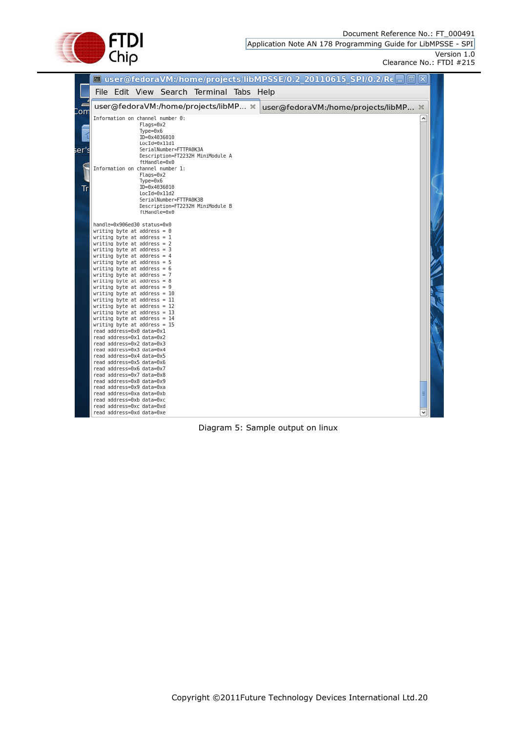Document Reference No.: FT\_000491



Application Note AN 178 Programming Guide for LibMPSSE - SPI Version 1.0

Clearance No.: FTDI #215

|       |  |                                                                                                                                               |                                                                            |                                          | ■ user@fedoraVM:/home/projects/libMPSSE/0.2_20110615_SPI/0.2/Rc ■ □   ▽   |  |
|-------|--|-----------------------------------------------------------------------------------------------------------------------------------------------|----------------------------------------------------------------------------|------------------------------------------|---------------------------------------------------------------------------|--|
|       |  |                                                                                                                                               |                                                                            | File Edit View Search Terminal Tabs Help |                                                                           |  |
| Con   |  |                                                                                                                                               |                                                                            |                                          | user@fedoraVM:/home/projects/libMP % user@fedoraVM:/home/projects/libMP % |  |
|       |  | $Flags=0x2$<br>Туре=0х6<br>ID=0x4036010<br>LocId=0x11d1                                                                                       | Information on channel number 0:                                           |                                          |                                                                           |  |
| ser': |  |                                                                                                                                               | SerialNumber=FTTPA0K3A<br>ftHandle=0x0<br>Information on channel number 1: | Description=FT2232H MiniModule A         |                                                                           |  |
| Tr    |  | $Flags=0x2$<br>Туре=0х6<br>ID=0x4036010<br>LocId=0x11d2                                                                                       | SerialNumber=FTTPA0K3B<br>ftHandle=0x0                                     | Description=FT2232H MiniModule B         |                                                                           |  |
|       |  | handle=0x906ed30 status=0x0<br>writing byte at address = $\theta$<br>writing byte at address = $1$                                            |                                                                            |                                          |                                                                           |  |
|       |  | writing byte at address = $2$<br>writing byte at address = $3$<br>writing byte at address = $4$                                               |                                                                            |                                          |                                                                           |  |
|       |  | writing byte at address = $5$<br>writing byte at address = $6$<br>writing byte at address = $7$                                               |                                                                            |                                          |                                                                           |  |
|       |  | writing byte at address = $8$<br>writing byte at address = $9$<br>writing byte at address = $10$                                              |                                                                            |                                          |                                                                           |  |
|       |  | writing byte at address = $11$<br>writing byte at address = $12$<br>writing byte at address = 13                                              |                                                                            |                                          |                                                                           |  |
|       |  | writing byte at address = $14$<br>writing byte at address = $15$<br>read address=0x0 data=0x1<br>read address=0x1 data=0x2                    |                                                                            |                                          |                                                                           |  |
|       |  | read address=0x2 data=0x3<br>read address=0x3 data=0x4<br>read address=0x4 data=0x5<br>read address=0x5 data=0x6<br>read address=0x6 data=0x7 |                                                                            |                                          |                                                                           |  |
|       |  | read address=0x7 data=0x8<br>read address=0x8 data=0x9<br>read address=0x9 data=0xa<br>read address=0xa data=0xb                              |                                                                            |                                          |                                                                           |  |
|       |  | read address=0xb data=0xc<br>read address=0xc data=0xd<br>read address=0xd data=0xe                                                           |                                                                            |                                          |                                                                           |  |

Diagram 5: Sample output on linux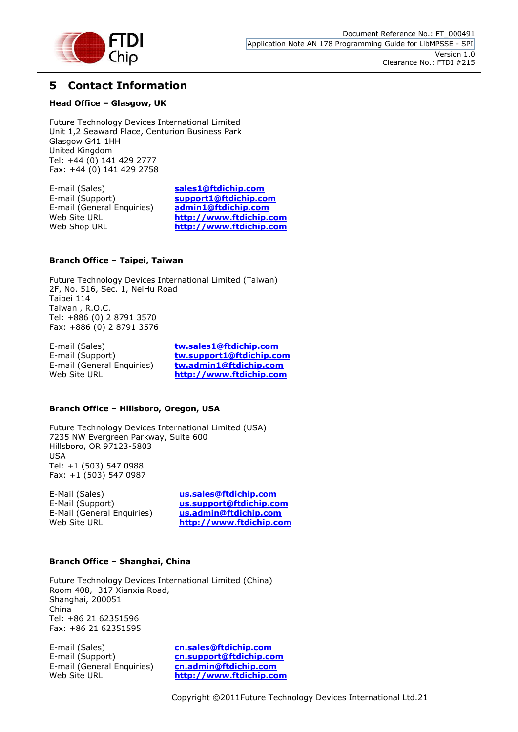

## <span id="page-21-0"></span>**5 Contact Information**

#### **Head Office – Glasgow, UK**

Future Technology Devices International Limited Unit 1,2 Seaward Place, Centurion Business Park Glasgow G41 1HH United Kingdom Tel: +44 (0) 141 429 2777 Fax: +44 (0) 141 429 2758

E-mail (Sales) **[sales1@ftdichip.com](mailto:sales1@ftdichip.com)**<br>E-mail (Support) **support1@ftdichip.com E-mail (General Enquiries)** 

E-mail (Support) **[support1@ftdichip.com](mailto:support1@ftdichip.com)** Web Site URL **[http://www.ftdichip.com](http://www.ftdichip.com/)** Web Shop URL **[http://www.ftdichip.com](http://www.ftdichip.com/)**

#### **Branch Office – Taipei, Taiwan**

Future Technology Devices International Limited (Taiwan) 2F, No. 516, Sec. 1, NeiHu Road Taipei 114 Taiwan , R.O.C. Tel: +886 (0) 2 8791 3570 Fax: +886 (0) 2 8791 3576

E-mail (Sales) **[tw.sales1@ftdichip.com](mailto:tw.sales1@ftdichip.com)**

E-mail (Support) **[tw.support1@ftdichip.com](mailto:tw.support1@ftdichip.com)** E-mail (General Enquiries) **[tw.admin1@ftdichip.com](mailto:tw.admin1@ftdichip.com)** Web Site URL **[http://www.ftdichip.com](http://www.ftdichip.com/)**

#### **Branch Office – Hillsboro, Oregon, USA**

Future Technology Devices International Limited (USA) 7235 NW Evergreen Parkway, Suite 600 Hillsboro, OR 97123-5803 USA Tel: +1 (503) 547 0988 Fax: +1 (503) 547 0987

E-Mail (Sales) **[us.sales@ftdichip.com](mailto:us.sales@ftdichip.com)** E-Mail (General Enquiries) **[us.admin@ftdichip.com](mailto:us.admin@ftdichip.com)**

E-Mail (Support) **[us.support@ftdichip.com](mailto:us.support@ftdichip.com)** Web Site URL **[http://www.ftdichip.com](http://www.ftdichip.com/)**

#### **Branch Office – Shanghai, China**

Future Technology Devices International Limited (China) Room 408, 317 Xianxia Road, Shanghai, 200051 China Tel: +86 21 62351596 Fax: +86 21 62351595

E-mail (Sales) **[cn.sales@ftdichip.com](mailto:cn.sales@ftdichip.com)** E-mail (General Enquiries) **[cn.admin@ftdichip.com](mailto:cn.admin@ftdichip.com)**

E-mail (Support) **[cn.support@ftdichip.com](mailto:cn.support@ftdichip.com)** Web Site URL **[http://www.ftdichip.com](http://www.ftdichip.com/)**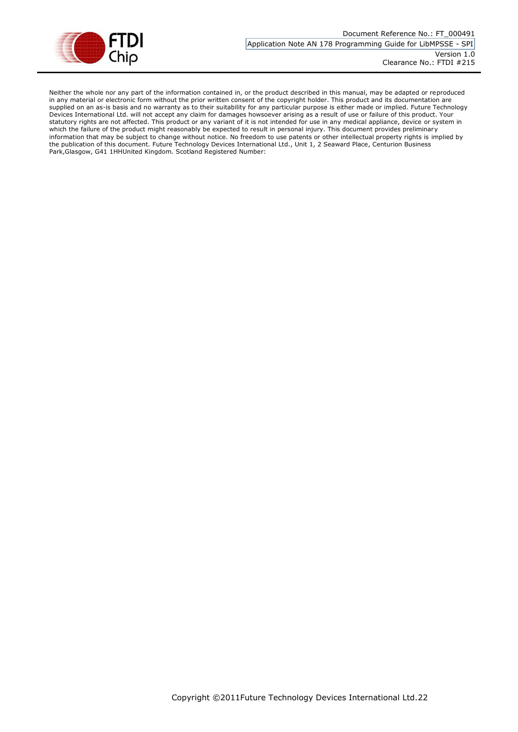

Neither the whole nor any part of the information contained in, or the product described in this manual, may be adapted or reproduced in any material or electronic form without the prior written consent of the copyright holder. This product and its documentation are supplied on an as-is basis and no warranty as to their suitability for any particular purpose is either made or implied. Future Technology Devices International Ltd. will not accept any claim for damages howsoever arising as a result of use or failure of this product. Your statutory rights are not affected. This product or any variant of it is not intended for use in any medical appliance, device or system in which the failure of the product might reasonably be expected to result in personal injury. This document provides preliminary information that may be subject to change without notice. No freedom to use patents or other intellectual property rights is implied by the publication of this document. Future Technology Devices International Ltd., Unit 1, 2 Seaward Place, Centurion Business Park,Glasgow, G41 1HHUnited Kingdom. Scotland Registered Number: